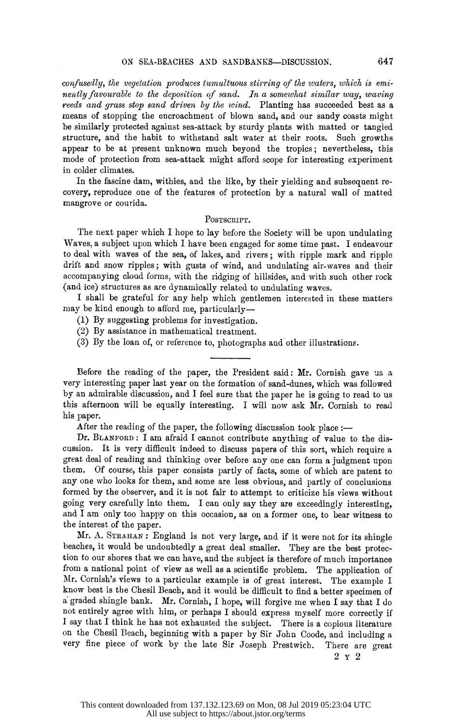confusedly, the vegetation produces tumultuous stirring of the waters, which is emi- confusedly, the vegetation produces tumultuous stirring of the waters, which is emi nently favourable to the deposition of sand. In a somewhat similar way, waving nently favourable to the deposition of sand. In a somewhat similar way, waving reeds and grass stop sand driven by the wind. Planting has succeeded best as a means of stopping the encroachment of blown sand, and our sandy coasts might means of stopping the encroachment of blown sand, and our sandy coasts might be similarly protected against sea-attack by sturdy plants with matted or tangled similarly protected against sea-attack by sturdy plants with matted or tangled structure, and the habit to withstand salt water at their roots. Such growths structure, and the habit to withstand salt water at their roots. Such growths appear to be at present unknown much beyond the tropics; nevertheless, this appear to be at present unknown much beyond the tropics; nevertheless, this mode of protection from sea-attack might afford scope for interesting experiment mode of protection from sea-attack might afford scope for interesting experiment in colder climates.

 In the fascine dam, withies, and the like, by their yielding and subsequent re covery, reproduce one of the features of protection by a natural wall of matted mangrove or courida.

## POSTSCRIPT.

 The next paper which I hope to lay before the Society will be upon undulating Waves, a subject upon which I have been engaged for some time past. I endeavour to deal with waves of the sea, of lakes, and rivers; with ripple mark and ripple drift and snow ripples; with gusts of wind, and undulating air-waves and their accompanying cloud forms, with the ridging of hillsides, and with such other rock (and ice) structures as are dynamically related to undulating waves.

 I shall be grateful for any help which gentlemen interested in these matters may be kind enough to afford me, particularly-

- (1) By suggesting problems for investigation.
- (2) By assistance in mathematical treatment.
- (3) By the loan of, or reference to, photographs and other illustrations.

 Before the reading of the paper, the President said: Mr. Cornish gave us a very interesting paper last year on the formation of sand-dunes, which was followed by an admirable discussion, and I feel sure that the paper he is going to read to us this afternoon will be equally interesting. I will now ask Mr. Cornish to read his paper.

After the reading of the paper, the following discussion took place :-

 Dr. BLANFORD: I am afraid I cannot contribute anything of value to the dis cussion. It is very difficult indeed to discuss papers of this sort, which require a great deal of reading and thinking over before any one can form a judgment upon them. Of course, this paper consists partly of facts, some of which are patent to any one who looks for them, and some are less obvious, and partly of conclusions formed by the observer, and it is not fair to attempt to criticize his views without going very carefully into them. I can only say they are exceedingly interesting, and I am only too happy on this occasion, as on a former one, to bear witness to the interest of the paper.

 Mr. A. STRAHAN: England is not very large, and if it were not for its shingle beaches, it would be undoubtedly a great deal smaller. They are the best protec tion to our shores that we can have, and the subject is therefore of much importance from a national point of view as well as a scientific problem. The application of Mr. Cornish's views to a particular example is of great interest. The example I know best is the Chesil Beach, and it would be difficult to find a better specimen of a graded shingle bank. Mr. Cornish, I hope, will forgive me when I say that I do not entirely agree with him, or perhaps I should express myself more correctly if I say that I think he has not exhausted the subject. There is a copious literature on the Chesil Beach, beginning with a paper by Sir John Coode, and including a very fine piece of work by the late Sir Joseph Prestwich. There are great

2 Y 2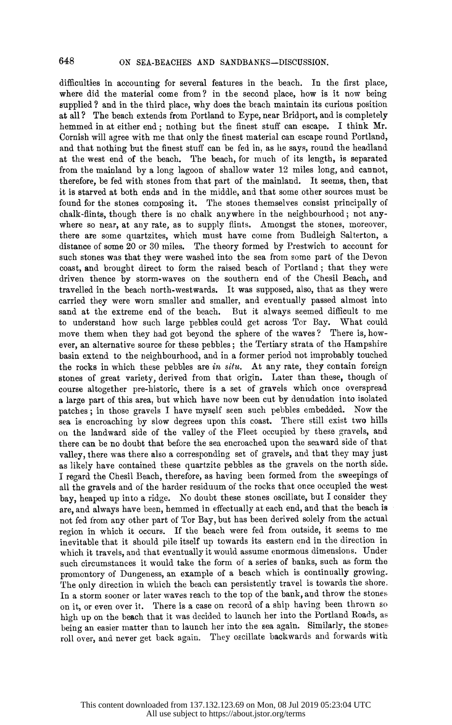difficulties in accounting for several features in the beach. In the first place, where did the material come from? in the second place, how is it now being supplied ? and in the third place, why does the beach maintain its curious position at all ? The beach extends from Portland to Eype, near Bridport, and is completely hemmed in at either end; nothing but the finest stuff can escape. I think Mr. Cornish will agree with me that only the finest material can escape round Portland, and that nothing but the finest stuff can be fed in, as he says, round the headland at the west end of the beach. The beach, for much of its length, is separated from the mainland by a long lagoon of shallow water 12 miles long, and cannot, therefore, be fed with stones from that part of the mainland. It seems, then, that it is starved at both ends and in the middle, and that some other sources must be found for the stones composing it. The stones themselves consist principally of chalk-flints, though there is no chalk anywhere in the neighbourhood; not any where so near, at any rate, as to supply flints. Amongst the stones, moreover, there are some quartzites, which must have come from Budleigh Salterton, a distance of some 20 or 30 miles. The theory formed by Prestwich to account for such stones was that they were washed into the sea from some part of the Devon coast, and brought direct to form the raised beach of Portland; that they were driven thence by storm-waves on the southern end of the Chesil Beach, and travelled in the beach north-westwards. It was supposed, also, that as they were carried they were worn smaller and smaller, and eventually passed almost into sand at the extreme end of the beach. But it always seemed difficult to me to understand how such large pebbles could get across Tor Bay. What could move them when they had got beyond the sphere of the waves ? There is, how ever, an alternative source for these pebbles; the Tertiary strata of the Hampshire basin extend to the neighbourhood, and in a former period not improbably touched the rocks in which these pebbles are in situ. At any rate, they contain foreign stones of great variety, derived from that origin. Later than these, though of course altogether pre-historic, there is a set of gravels which once overspread a large part of this area, but which have now been cut by denudation into isolated patches; in those gravels I have myself seen such pebbles embedded. Now the sea is encroaching by slow degrees upon this coast. There still exist two hills on the landward side of the valley of the Fleet occupied by these gravels, and there can be no doubt that before the sea encroached upon the seaward side of that valley, there was there also a corresponding set of gravels, and that they may just as likely have contained these quartzite pebbles as the gravels on the north side. I regard the Chesil Beach, therefore, as having been formed from the sweepings of all the gravels and of the harder residuum of the rocks that once occupied the west bay, heaped up into a ridge. No doubt these stones oscillate, but I consider they are, and always have been, hemmed in effectually at each end, and that the beach is not fed from any other part of Tor Bay, but has been derived solely from the actual region in which it occurs. If the beach were fed from outside, it seems to me inevitable that it should pile itself up towards its eastern end in the direction in which it travels, and that eventually it would assume enormous dimensions. Under such circumstances it would take the form of a series of banks, such as form the promontory of Dungeness, an example of a beach which is continually growing. The only direction in which the beach can persistently travel is towards the shore. In a storm sooner or later waves reach to the top of the bank, and throw the stones on it, or even over it. There is a case on record of a ship having been thrown so high up on the beach that it was decided to launch her into the Portland Roads, as being an easier matter than to launch her into the sea again. Similarly, the stones roll over, and never get back again. They oscillate backwards and forwards with

648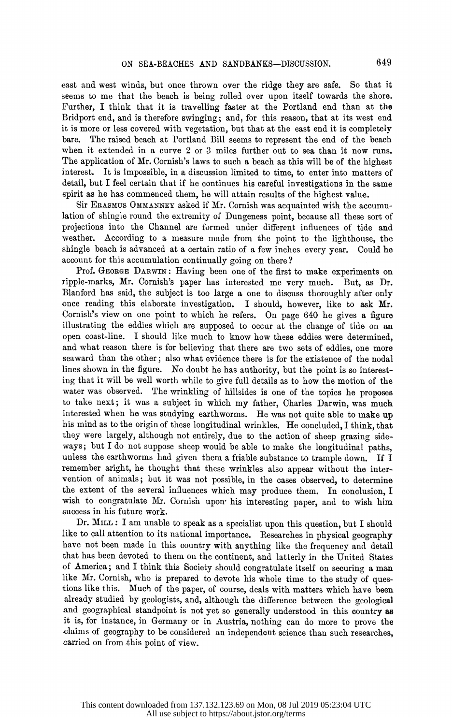east and west winds, but once thrown over the ridge they are safe. So that it seems to me that the beach is being rolled over upon itself towards the shore. Further, I think that it is travelling faster at the Portland end than at the Bridport end, and is therefore swinging; and, for this reason, that at its west end it is more or less covered with vegetation, but that at the east end it is completely The raised beach at Portland Bill seems to represent the end of the beach when it extended in a curve 2 or 3 miles further out to sea than it now runs. The application of Mr. Cornish's laws to such a beach as this will be of the highest interest. It is impossible, in a discussion limited to time, to enter into matters of detail, but I feel certain that if he continues his careful investigations in the same spirit as he has commenced them, he will attain results of the highest value.

 Sir ERASMus OMMANNEY asked if Mr. Cornish was acquainted with the accumu lation of shingle round the extremity of Dungeness point, because all these sort of projections into the Channel are formed under different influences of tide and weather. According to a measure made from the point to the lighthouse, the shingle beach is advanced at a certain ratio of a few inches every year. Could he account for this accumulation continually going on there ?

 Prof. GEORGE DARWIN: Having been one of the first to make experiments on ripple-marks, Mr. Cornish's paper has interested me very much. But, as Dr. Blanford has said, the subject is too large a one to discuss thoroughly after only once reading this elaborate investigation. I should, however, like to ask Mr. Cornish's view on one point to which he refers. On page 640 he gives a figure illustrating the eddies which are supposed to occur at the change of tide on an open coast-line. I should like much to know how these eddies were determined, and what reason there is for believing that there are two sets of eddies, one more seaward than the other; also what evidence there is for the existence of the nodal lines shown in the figure. No doubt he has authority, but the point is so interest ing that it will be well worth while to give full details as to how the motion of the water was observed. The wrinkling of hillsides is one of the topics he proposes to take next; it was a subject in which my father, Charles Darwin, was much interested when he was studying earthworms. He was not quite able to make up his mind as to the origin of these longitudinal wrinkles. He concluded, I think, that they were largely, although not entirely, due to the action of sheep grazing side ways; but I do not suppose sheep would be able to make the longitudinal paths, unless the earthworms had given them a friable substance to trample down. If I remember aright, he thought that these wrinkles also appear without the inter vention of animals; but it was not possible, in the cases observed, to determine the extent of the several influences which may produce them. In conclusion, I wish to congratulate Mr. Cornish upon' his interesting paper, and to wish him success in his future work.

 Dr. MILL: I am unable to speak as a specialist upon this question, but I should like to call attention to its national importance. Researches in physical geography have not been made in this country with anything like the frequency and detail that has been devoted to them on the continent, and latterly in the United States of America; and I think this Society should congratulate itself on securing a man like Mr. Cornish, who is prepared to devote his whole time to the study of ques tions like this. Much of the paper, of course, deals with matters which have been already studied by geologists, and, although the difference between the geological and geographical standpoint is not yet so generally understood in this country as it is, for instance, in Germany or in Austria, nothing can do more to prove the claims of geography to be considered an independent science than such researches, carried on from this point of view.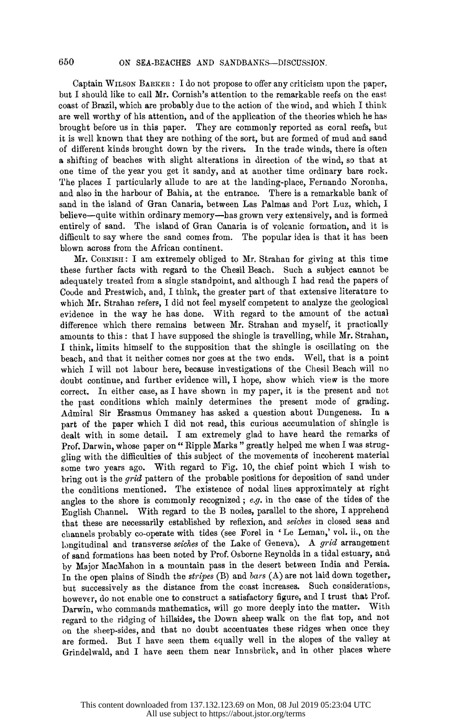Captain WILSON BARKER: I do not propose to offer any criticism upon the paper, but I should like to call Mr. Cornish's attention to the remarkable reefs on the east coast of Brazil, which are probably due to the action of the wind, and which I think are well worthy of his attention, and of the application of the theories which he has brought before us in this paper. They are commonly reported as coral reefs, but it is well known that they are nothing of the sort, but are formed of mud and sand of different kinds brought down by the rivers. In the trade winds, there is often a shifting of beaches with slight alterations in direction of the wind, so that at one time of the year you get it sandy, and at another time ordinary bare rock. The places I particularly allude to are at the landing-place, Fernando Noronha, and also in the harbour of Bahia, at the entrance. There is a remarkable bank of sand in the island of Gran Canaria, between Las Palmas and Port Luz, which, I believe-quite within ordinary memory-has grown very extensively, and is formed entirely of sand. The island of Gran Canaria is of volcanic formation, and it is difficult to say where the sand comes from. The popular idea is that it has been blown across from the African continent.

 Mr. CORNISH: I am extremely obliged to Mr. Strahan for giving at this time these further facts with regard to the Chesil Beach. Such a subject cannot be adequately treated from a single standpoint, and although I had read the papers of Coode and Prestwich, and, I think, the greater part of that extensive literature to which Mr. Strahan refers, I did not feel myself competent to analyze the geological evidence in the way he has done. With regard to the amount of the actual difference which there remains between Mr. Strahan and myself, it practically amounts to this: that I have supposed the shingle is travelling, while Mr. Strahan, I think, limits himself to the supposition that the shingle is oscillating on the beach, and that it neither comes nor goes at the two ends. Well, that is a point which I will not labour here, because investigations of the Chesil Beach will no doubt continue, and farther evidence will, I hope, show which view is the more correct. In either case, as I have shown in my paper, it is the present and not the past conditions which mainly determines the present mode of grading. Admiral Sir Erasmus Ommaney has asked a question about Dungeness. In a part of the paper which I did not read, this curious accumulation of shingle is dealt with in some detail. I am extremely glad to have heard the remarks of Prof. Darwin, whose paper on "Ripple Marks" greatly helped me when I was strug gling with the difficulties of this subject of the movements of incoherent material some two years ago. With regard to Fig. 10, the chief point which I wish to bring out is the grid pattern of the probable positions for deposition of sand under the conditions mentioned. The existence of nodal lines approximately at right angles to the shore is commonly recognized; e.g. in the case of the tides of the English Channel. With regard to the B nodes, parallel to the shore, I apprehend that these are necessarily established by reflexion, and seiches in closed seas and channels probably co-operate with tides (see Forel in ' Le Leman,' vol. ii., on the longitudinal and transverse seiches of the Lake of Geneva). A grid arrangement of sand formations has been noted by Prof. Osborne Reynolds in a tidal estuary, and by Major MacMahon in a mountain pass in the desert between India and Persia. In the open plains of Sindh the stripes (B) and bars (A) are not laid down together, but successively as the distance from the coast increases. Such considerations, however, do not enable one to construct a satisfactory figure, and I trust that Prof. Darwin, who commands mathematics, will go more deeply into the matter. With regard to the ridging of hillsides, the Down sheep walk on the flat top, and not on the sheep-sides, and that no doubt accentuates these ridges when once they are formed. But I have seen them equally well in the slopes of the valley at Grindelwald, and I have seen them near Innsbriick, and in other places where